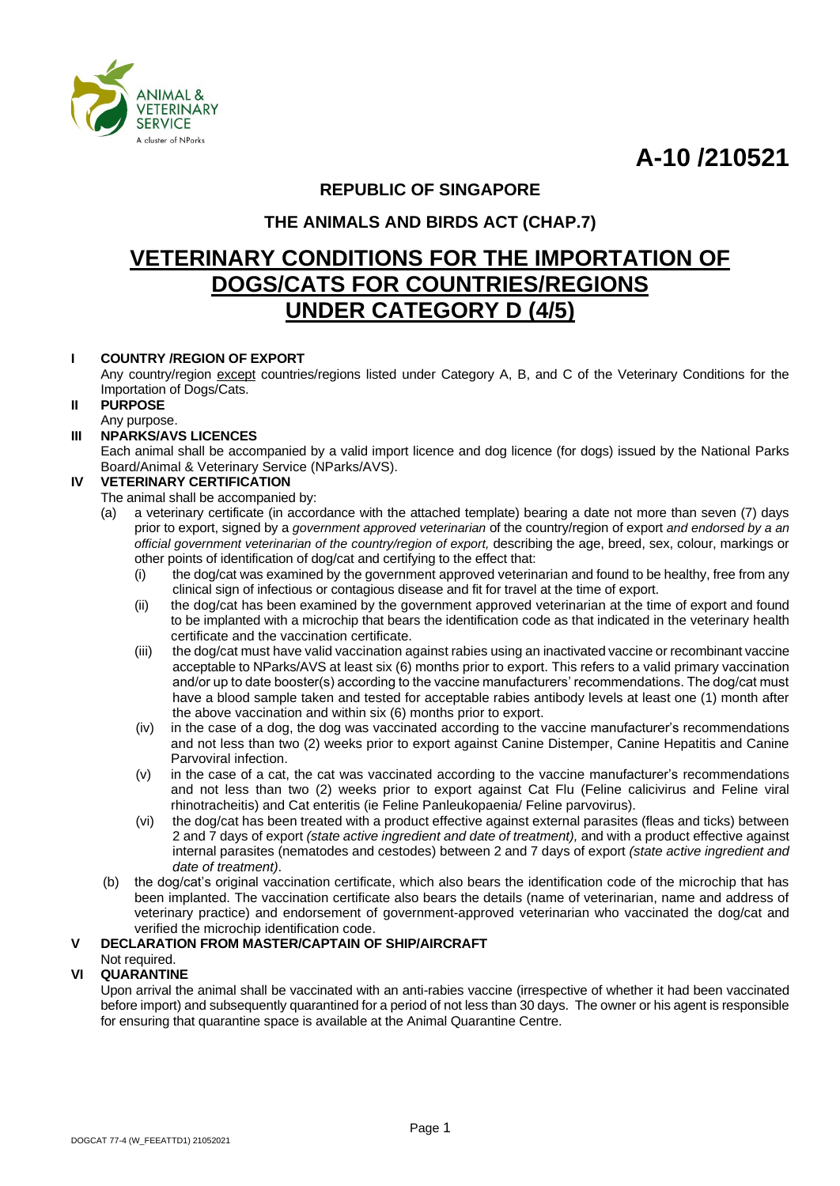**A-10 /210521**



#### **REPUBLIC OF SINGAPORE**

#### **THE ANIMALS AND BIRDS ACT (CHAP.7)**

### **VETERINARY CONDITIONS FOR THE IMPORTATION OF DOGS/CATS FOR COUNTRIES/REGIONS UNDER CATEGORY D (4/5)**

#### **I COUNTRY /REGION OF EXPORT**

Any country/region except countries/regions listed under Category A, B, and C of the Veterinary Conditions for the Importation of Dogs/Cats.

#### **II PURPOSE**

Any purpose.

#### **III NPARKS/AVS LICENCES**

Each animal shall be accompanied by a valid import licence and dog licence (for dogs) issued by the National Parks Board/Animal & Veterinary Service (NParks/AVS).

#### **IV VETERINARY CERTIFICATION**

The animal shall be accompanied by:

- (a) a veterinary certificate (in accordance with the attached template) bearing a date not more than seven (7) days prior to export, signed by a *government approved veterinarian* of the country/region of export *and endorsed by a an official government veterinarian of the country/region of export,* describing the age, breed, sex, colour, markings or other points of identification of dog/cat and certifying to the effect that:
	- (i) the dog/cat was examined by the government approved veterinarian and found to be healthy, free from any clinical sign of infectious or contagious disease and fit for travel at the time of export.
	- (ii) the dog/cat has been examined by the government approved veterinarian at the time of export and found to be implanted with a microchip that bears the identification code as that indicated in the veterinary health certificate and the vaccination certificate.
	- (iii) the dog/cat must have valid vaccination against rabies using an inactivated vaccine or recombinant vaccine acceptable to NParks/AVS at least six (6) months prior to export. This refers to a valid primary vaccination and/or up to date booster(s) according to the vaccine manufacturers' recommendations. The dog/cat must have a blood sample taken and tested for acceptable rabies antibody levels at least one (1) month after the above vaccination and within six (6) months prior to export.
	- (iv) in the case of a dog, the dog was vaccinated according to the vaccine manufacturer's recommendations and not less than two (2) weeks prior to export against Canine Distemper, Canine Hepatitis and Canine Parvoviral infection.
	- (v) in the case of a cat, the cat was vaccinated according to the vaccine manufacturer's recommendations and not less than two (2) weeks prior to export against Cat Flu (Feline calicivirus and Feline viral rhinotracheitis) and Cat enteritis (ie Feline Panleukopaenia/ Feline parvovirus).
	- (vi) the dog/cat has been treated with a product effective against external parasites (fleas and ticks) between 2 and 7 days of export *(state active ingredient and date of treatment),* and with a product effective against internal parasites (nematodes and cestodes) between 2 and 7 days of export *(state active ingredient and date of treatment)*.
- (b) the dog/cat's original vaccination certificate, which also bears the identification code of the microchip that has been implanted. The vaccination certificate also bears the details (name of veterinarian, name and address of veterinary practice) and endorsement of government-approved veterinarian who vaccinated the dog/cat and verified the microchip identification code.

#### **V DECLARATION FROM MASTER/CAPTAIN OF SHIP/AIRCRAFT**

#### Not required.

#### **VI QUARANTINE**

Upon arrival the animal shall be vaccinated with an anti-rabies vaccine (irrespective of whether it had been vaccinated before import) and subsequently quarantined for a period of not less than 30 days. The owner or his agent is responsible for ensuring that quarantine space is available at the Animal Quarantine Centre.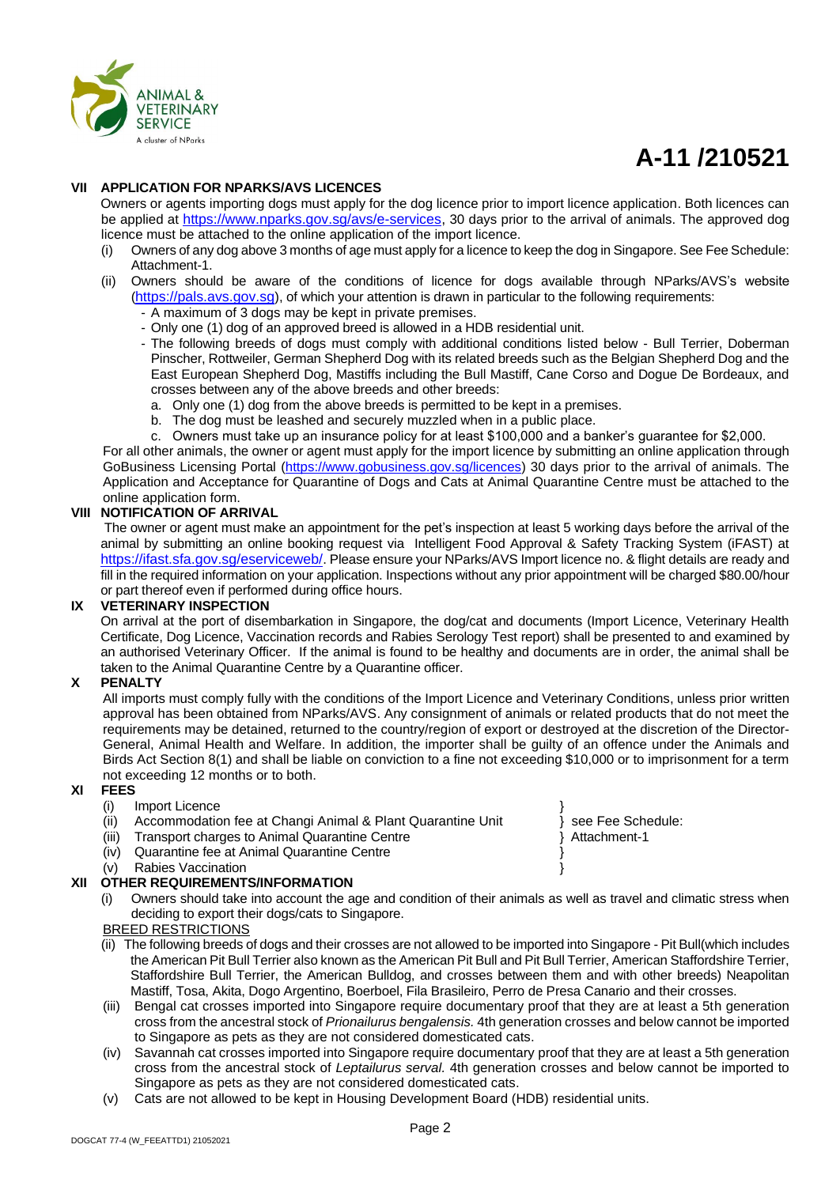

# **A-11 /210521**

#### **VII APPLICATION FOR NPARKS/AVS LICENCES**

Owners or agents importing dogs must apply for the dog licence prior to import licence application. Both licences can be applied at [https://www.nparks.gov.sg/avs/e-services,](https://www.nparks.gov.sg/avs/e-services) 30 days prior to the arrival of animals. The approved dog licence must be attached to the online application of the import licence.

(i) Owners of any dog above 3 months of age must apply for a licence to keep the dog in Singapore. See Fee Schedule: Attachment-1.

#### (ii) Owners should be aware of the conditions of licence for dogs available through NParks/AVS's website ([https://pals.avs.gov.sg](https://pals.avs.gov.sg/)), of which your attention is drawn in particular to the following requirements:

- A maximum of 3 dogs may be kept in private premises.
- Only one (1) dog of an approved breed is allowed in a HDB residential unit.
- The following breeds of dogs must comply with additional conditions listed below Bull Terrier, Doberman Pinscher, Rottweiler, German Shepherd Dog with its related breeds such as the Belgian Shepherd Dog and the East European Shepherd Dog, Mastiffs including the Bull Mastiff, Cane Corso and Dogue De Bordeaux, and crosses between any of the above breeds and other breeds:
	- a. Only one (1) dog from the above breeds is permitted to be kept in a premises.
	- b. The dog must be leashed and securely muzzled when in a public place.
- c. Owners must take up an insurance policy for at least \$100,000 and a banker's guarantee for \$2,000.

For all other animals, the owner or agent must apply for the import licence by submitting an online application through GoBusiness Licensing Portal [\(https://www.gobusiness.gov.sg/licences\)](https://www.gobusiness.gov.sg/licences) 30 days prior to the arrival of animals. The Application and Acceptance for Quarantine of Dogs and Cats at Animal Quarantine Centre must be attached to the online application form.

#### **VIII NOTIFICATION OF ARRIVAL**

The owner or agent must make an appointment for the pet's inspection at least 5 working days before the arrival of the animal by submitting an online booking request via Intelligent Food Approval & Safety Tracking System (iFAST) at <https://ifast.sfa.gov.sg/eserviceweb/>. Please ensure your NParks/AVS Import licence no. & flight details are ready and fill in the required information on your application. Inspections without any prior appointment will be charged \$80.00/hour or part thereof even if performed during office hours.

#### **IX VETERINARY INSPECTION**

On arrival at the port of disembarkation in Singapore, the dog/cat and documents (Import Licence, Veterinary Health Certificate, Dog Licence, Vaccination records and Rabies Serology Test report) shall be presented to and examined by an authorised Veterinary Officer. If the animal is found to be healthy and documents are in order, the animal shall be taken to the Animal Quarantine Centre by a Quarantine officer.

#### **X PENALTY**

All imports must comply fully with the conditions of the Import Licence and Veterinary Conditions, unless prior written approval has been obtained from NParks/AVS. Any consignment of animals or related products that do not meet the requirements may be detained, returned to the country/region of export or destroyed at the discretion of the Director-General, Animal Health and Welfare. In addition, the importer shall be guilty of an offence under the Animals and Birds Act Section 8(1) and shall be liable on conviction to a fine not exceeding \$10,000 or to imprisonment for a term not exceeding 12 months or to both.

- **XI FEES**
	- (i) Import Licence
	- (ii) Accommodation fee at Changi Animal & Plant Quarantine Unit } see Fee Schedule:
	- (iii) Transport charges to Animal Quarantine Centre **1998** 1998 12:4tachment-1
	- (iv) Quarantine fee at Animal Quarantine Centre }
	- (v) Rabies Vaccination  $\}$

#### **XII OTHER REQUIREMENTS/INFORMATION**

(i) Owners should take into account the age and condition of their animals as well as travel and climatic stress when deciding to export their dogs/cats to Singapore.

#### BREED RESTRICTIONS

- (ii) The following breeds of dogs and their crosses are not allowed to be imported into Singapore Pit Bull(which includes the American Pit Bull Terrier also known as the American Pit Bull and Pit Bull Terrier, American Staffordshire Terrier, Staffordshire Bull Terrier, the American Bulldog, and crosses between them and with other breeds) Neapolitan Mastiff, Tosa, Akita, Dogo Argentino, Boerboel, Fila Brasileiro, Perro de Presa Canario and their crosses.
- (iii) Bengal cat crosses imported into Singapore require documentary proof that they are at least a 5th generation cross from the ancestral stock of *Prionailurus bengalensis.* 4th generation crosses and below cannot be imported to Singapore as pets as they are not considered domesticated cats.
- (iv) Savannah cat crosses imported into Singapore require documentary proof that they are at least a 5th generation cross from the ancestral stock of *Leptailurus serval.* 4th generation crosses and below cannot be imported to Singapore as pets as they are not considered domesticated cats.
- (v) Cats are not allowed to be kept in Housing Development Board (HDB) residential units.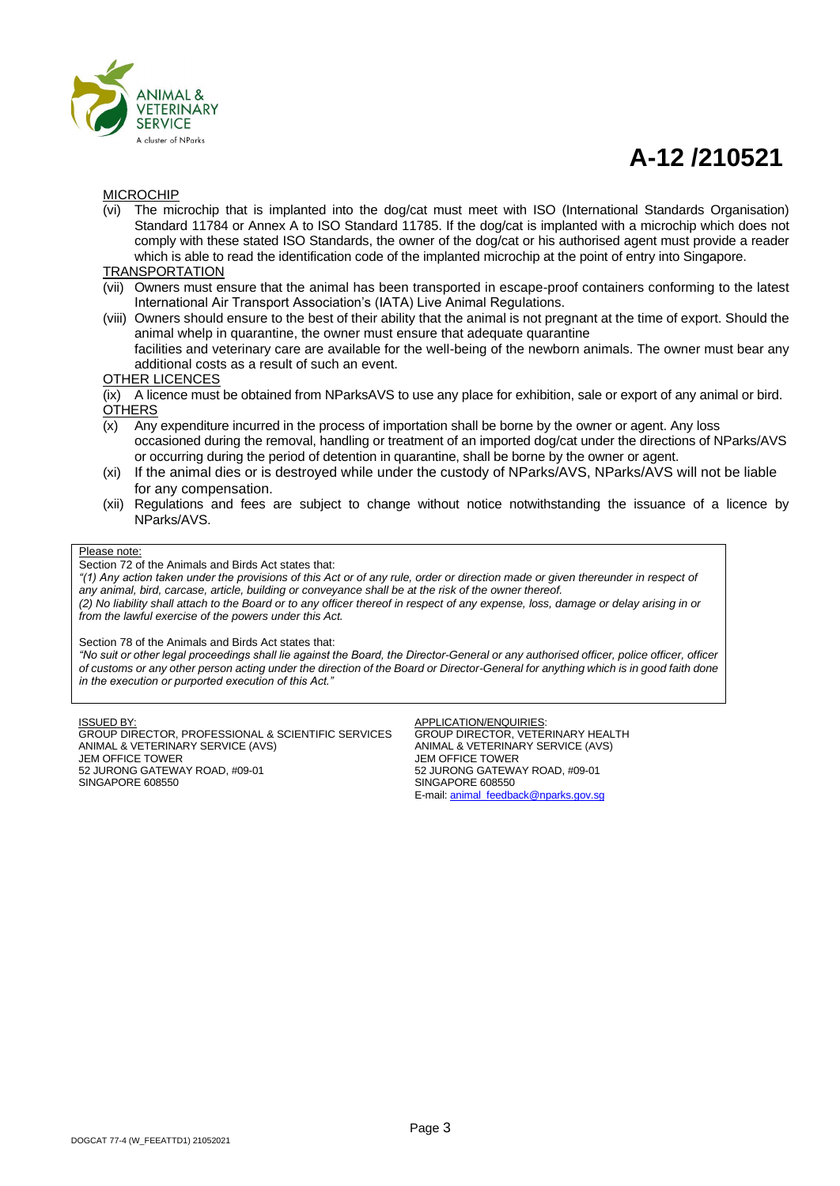

## **A-12 /210521**

#### MICROCHIP

(vi) The microchip that is implanted into the dog/cat must meet with ISO (International Standards Organisation) Standard 11784 or Annex A to ISO Standard 11785. If the dog/cat is implanted with a microchip which does not comply with these stated ISO Standards, the owner of the dog/cat or his authorised agent must provide a reader which is able to read the identification code of the implanted microchip at the point of entry into Singapore.

#### TRANSPORTATION

- (vii) Owners must ensure that the animal has been transported in escape-proof containers conforming to the latest International Air Transport Association's (IATA) Live Animal Regulations.
- (viii) Owners should ensure to the best of their ability that the animal is not pregnant at the time of export. Should the animal whelp in quarantine, the owner must ensure that adequate quarantine facilities and veterinary care are available for the well-being of the newborn animals. The owner must bear any additional costs as a result of such an event.

OTHER LICENCES

(ix) A licence must be obtained from NParksAVS to use any place for exhibition, sale or export of any animal or bird. **OTHERS** 

- (x) Any expenditure incurred in the process of importation shall be borne by the owner or agent. Any loss occasioned during the removal, handling or treatment of an imported dog/cat under the directions of NParks/AVS or occurring during the period of detention in quarantine, shall be borne by the owner or agent.
- (xi) If the animal dies or is destroyed while under the custody of NParks/AVS, NParks/AVS will not be liable for any compensation.
- (xii) Regulations and fees are subject to change without notice notwithstanding the issuance of a licence by NParks/AVS.

#### Please note:

Section 72 of the Animals and Birds Act states that:

*"(1) Any action taken under the provisions of this Act or of any rule, order or direction made or given thereunder in respect of any animal, bird, carcase, article, building or conveyance shall be at the risk of the owner thereof. (2) No liability shall attach to the Board or to any officer thereof in respect of any expense, loss, damage or delay arising in or from the lawful exercise of the powers under this Act.*

Section 78 of the Animals and Birds Act states that:

*"No suit or other legal proceedings shall lie against the Board, the Director-General or any authorised officer, police officer, officer of customs or any other person acting under the direction of the Board or Director-General for anything which is in good faith done in the execution or purported execution of this Act."*

ISSUED BY:

GROUP DIRECTOR, PROFESSIONAL & SCIENTIFIC SERVICES ANIMAL & VETERINARY SERVICE (AVS) JEM OFFICE TOWER 52 JURONG GATEWAY ROAD, #09-01 SINGAPORE 608550

**APPLICATION/ENQUIRIES** GROUP DIRECTOR, VETERINARY HEALTH ANIMAL & VETERINARY SERVICE (AVS) JEM OFFICE TOWER 52 JURONG GATEWAY ROAD, #09-01 SINGAPORE 608550 E-mail[: animal\\_feedback@nparks.gov.sg](mailto:animal_feedback@nparks.gov.sg)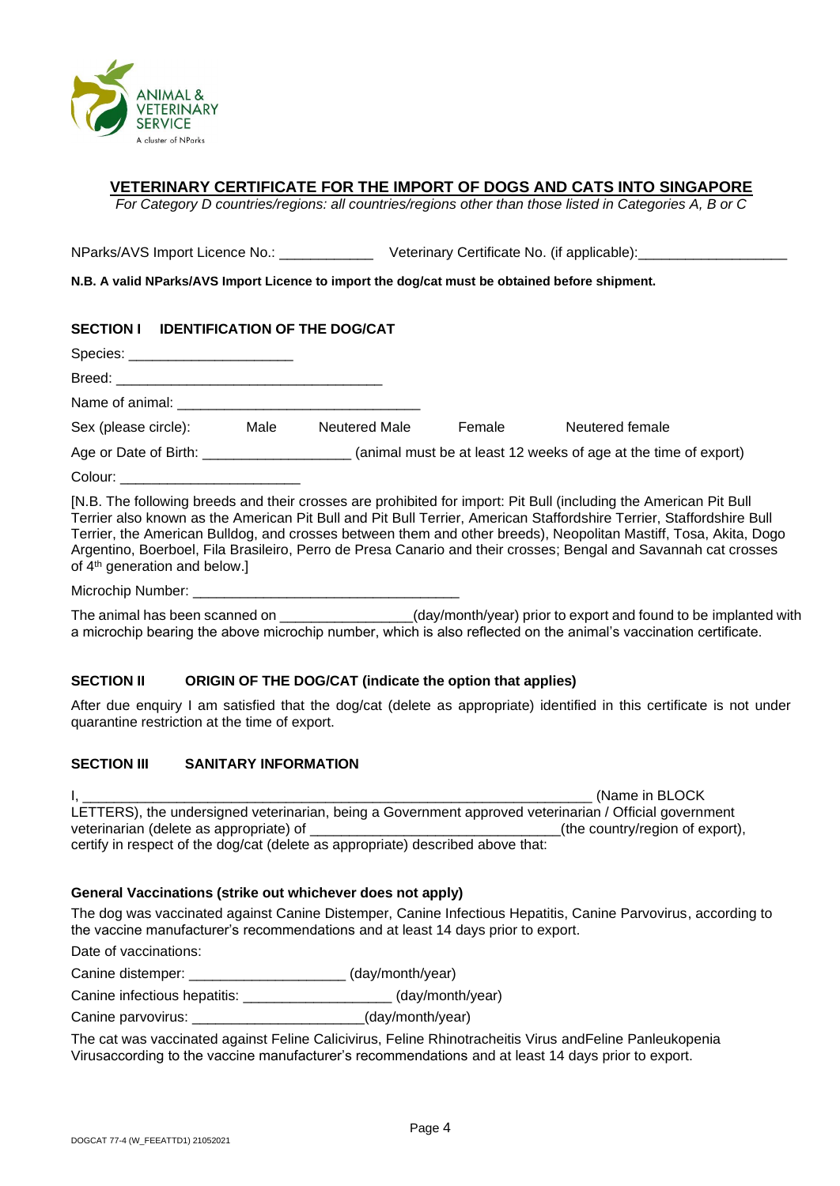

#### **VETERINARY CERTIFICATE FOR THE IMPORT OF DOGS AND CATS INTO SINGAPORE**

*For Category D countries/regions: all countries/regions other than those listed in Categories A, B or C*

NParks/AVS Import Licence No.: \_\_\_\_\_\_\_\_\_\_\_\_\_\_\_Veterinary Certificate No. (if applicable):

**N.B. A valid NParks/AVS Import Licence to import the dog/cat must be obtained before shipment.**

| SECTION I IDENTIFICATION OF THE DOG/CAT |      |                      |        |                                                                                                                   |
|-----------------------------------------|------|----------------------|--------|-------------------------------------------------------------------------------------------------------------------|
| Species: _______________________        |      |                      |        |                                                                                                                   |
|                                         |      |                      |        |                                                                                                                   |
|                                         |      |                      |        |                                                                                                                   |
| Sex (please circle):                    | Male | <b>Neutered Male</b> | Female | Neutered female                                                                                                   |
|                                         |      |                      |        | Age or Date of Birth: _______________________(animal must be at least 12 weeks of age at the time of export)      |
| Colour: ____________________________    |      |                      |        |                                                                                                                   |
|                                         |      |                      |        | [N.B. The following breeds and their crosses are prohibited for import: Pit Bull (including the American Pit Bull |

Terrier also known as the American Pit Bull and Pit Bull Terrier, American Staffordshire Terrier, Staffordshire Bull Terrier, the American Bulldog, and crosses between them and other breeds), Neopolitan Mastiff, Tosa, Akita, Dogo Argentino, Boerboel, Fila Brasileiro, Perro de Presa Canario and their crosses; Bengal and Savannah cat crosses of 4th generation and below.]

Microchip Number:

The animal has been scanned on  $\qquad \qquad$  (day/month/year) prior to export and found to be implanted with a microchip bearing the above microchip number, which is also reflected on the animal's vaccination certificate.

#### **SECTION II ORIGIN OF THE DOG/CAT (indicate the option that applies)**

After due enquiry I am satisfied that the dog/cat (delete as appropriate) identified in this certificate is not under quarantine restriction at the time of export.

#### **SECTION III SANITARY INFORMATION**

I, \_\_\_\_\_\_\_\_\_\_\_\_\_\_\_\_\_\_\_\_\_\_\_\_\_\_\_\_\_\_\_\_\_\_\_\_\_\_\_\_\_\_\_\_\_\_\_\_\_\_\_\_\_\_\_\_\_\_\_\_\_\_\_\_\_ (Name in BLOCK LETTERS), the undersigned veterinarian, being a Government approved veterinarian / Official government veterinarian (delete as appropriate) of  $\blacksquare$   $\blacksquare$  (the country/region of export), certify in respect of the dog/cat (delete as appropriate) described above that:

#### **General Vaccinations (strike out whichever does not apply)**

The dog was vaccinated against Canine Distemper, Canine Infectious Hepatitis, Canine Parvovirus, according to the vaccine manufacturer's recommendations and at least 14 days prior to export.

Date of vaccinations:

Canine distemper: \_\_\_\_\_\_\_\_\_\_\_\_\_\_\_\_\_\_\_\_ (day/month/year)

Canine infectious hepatitis:  $\qquad \qquad$  (day/month/year)

Canine parvovirus: <br>
(day/month/year)

The cat was vaccinated against Feline Calicivirus, Feline Rhinotracheitis Virus andFeline Panleukopenia Virusaccording to the vaccine manufacturer's recommendations and at least 14 days prior to export.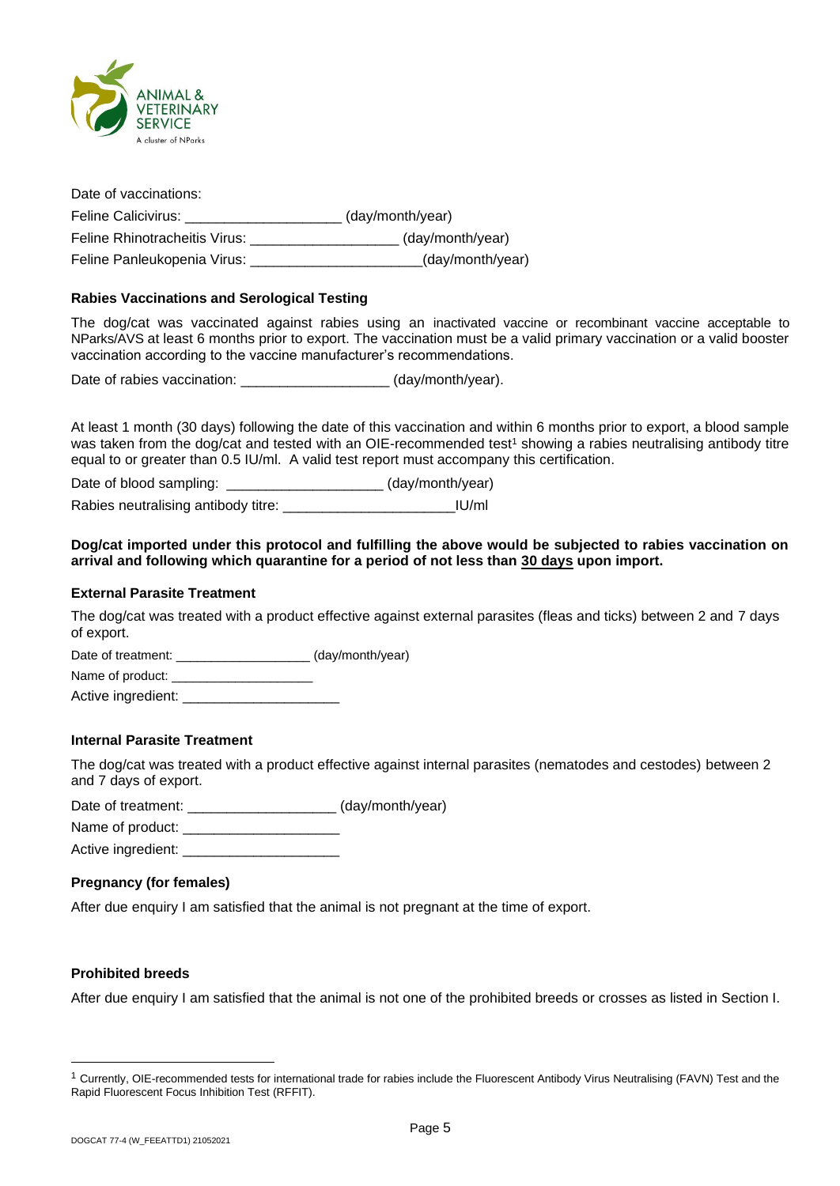

| Date of vaccinations:         |                  |
|-------------------------------|------------------|
| Feline Calicivirus:           | (day/month/year) |
| Feline Rhinotracheitis Virus: | (day/month/year) |
| Feline Panleukopenia Virus:   | (day/month/year) |

#### **Rabies Vaccinations and Serological Testing**

The dog/cat was vaccinated against rabies using an inactivated vaccine or recombinant vaccine acceptable to NParks/AVS at least 6 months prior to export. The vaccination must be a valid primary vaccination or a valid booster vaccination according to the vaccine manufacturer's recommendations.

Date of rabies vaccination: \_\_\_\_\_\_\_\_\_\_\_\_\_\_\_\_\_\_\_\_\_\_ (day/month/year).

At least 1 month (30 days) following the date of this vaccination and within 6 months prior to export, a blood sample was taken from the dog/cat and tested with an OIE-recommended test<sup>1</sup> showing a rabies neutralising antibody titre equal to or greater than 0.5 IU/ml. A valid test report must accompany this certification.

Date of blood sampling: \_\_\_\_\_\_\_\_\_\_\_\_\_\_\_\_\_\_\_\_\_\_\_ (day/month/year)

Rabies neutralising antibody titre: <br>
IU/ml

#### **Dog/cat imported under this protocol and fulfilling the above would be subjected to rabies vaccination on arrival and following which quarantine for a period of not less than 30 days upon import.**

#### **External Parasite Treatment**

The dog/cat was treated with a product effective against external parasites (fleas and ticks) between 2 and 7 days of export.

Date of treatment: \_\_\_\_\_\_\_\_\_\_\_\_\_\_\_\_\_\_\_ (day/month/year)

Name of product: Active ingredient: \_\_\_\_\_\_\_\_\_\_\_\_\_\_\_\_\_\_\_\_

**Internal Parasite Treatment**

The dog/cat was treated with a product effective against internal parasites (nematodes and cestodes) between 2 and 7 days of export.

Date of treatment: \_\_\_\_\_\_\_\_\_\_\_\_\_\_\_\_\_\_\_\_\_\_\_ (day/month/year)

Name of product:

Active ingredient:

#### **Pregnancy (for females)**

After due enquiry I am satisfied that the animal is not pregnant at the time of export.

#### **Prohibited breeds**

After due enquiry I am satisfied that the animal is not one of the prohibited breeds or crosses as listed in Section I.

<sup>&</sup>lt;sup>1</sup> Currently, OIE-recommended tests for international trade for rabies include the Fluorescent Antibody Virus Neutralising (FAVN) Test and the Rapid Fluorescent Focus Inhibition Test (RFFIT).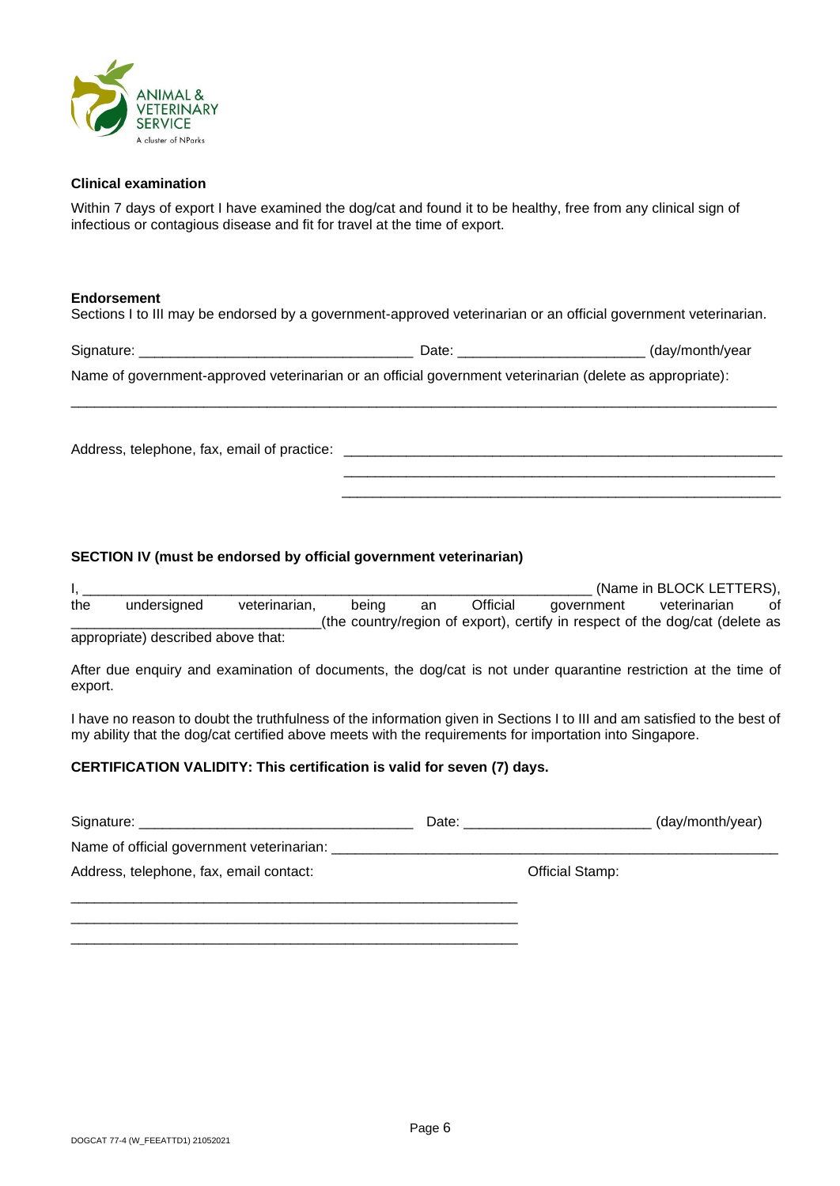

#### **Clinical examination**

Within 7 days of export I have examined the dog/cat and found it to be healthy, free from any clinical sign of infectious or contagious disease and fit for travel at the time of export.

#### **Endorsement**

Sections I to III may be endorsed by a government-approved veterinarian or an official government veterinarian.

| Signature:                                                                                               | Date: | (day/month/year |
|----------------------------------------------------------------------------------------------------------|-------|-----------------|
| Name of government-approved veterinarian or an official government veterinarian (delete as appropriate): |       |                 |

\_\_\_\_\_\_\_\_\_\_\_\_\_\_\_\_\_\_\_\_\_\_\_\_\_\_\_\_\_\_\_\_\_\_\_\_\_\_\_\_\_\_\_\_\_\_\_\_\_\_\_\_\_\_\_\_\_\_\_\_\_\_\_\_\_\_\_\_\_\_\_\_\_\_\_\_\_\_\_\_\_\_\_\_\_\_\_\_\_\_

\_\_\_\_\_\_\_\_\_\_\_\_\_\_\_\_\_\_\_\_\_\_\_\_\_\_\_\_\_\_\_\_\_\_\_\_\_\_\_\_\_\_\_\_\_\_\_\_\_\_\_\_\_\_\_ \_\_\_\_\_\_\_\_\_\_\_\_\_\_\_\_\_\_\_\_\_\_\_\_\_\_\_\_\_\_\_\_\_\_\_\_\_\_\_\_\_\_\_\_\_\_\_\_\_\_\_\_\_\_\_\_

Address, telephone, fax, email of practice: \_\_\_\_\_\_\_\_\_\_\_\_\_\_\_\_\_\_\_\_\_\_\_\_\_\_\_\_\_\_\_\_\_\_\_\_\_\_\_\_\_\_\_\_\_\_\_\_\_\_\_\_\_\_\_\_

#### **SECTION IV (must be endorsed by official government veterinarian)**

|     |             |               |       |    |          |            | (Name in BLOCK LETTERS),                                                     |    |
|-----|-------------|---------------|-------|----|----------|------------|------------------------------------------------------------------------------|----|
| the | undersigned | veterinarian, | beina | an | Official | government | veterinarian                                                                 | of |
|     |             |               |       |    |          |            | (the country/region of export), certify in respect of the dog/cat (delete as |    |

appropriate) described above that:

After due enquiry and examination of documents, the dog/cat is not under quarantine restriction at the time of export.

I have no reason to doubt the truthfulness of the information given in Sections I to III and am satisfied to the best of my ability that the dog/cat certified above meets with the requirements for importation into Singapore.

#### **CERTIFICATION VALIDITY: This certification is valid for seven (7) days.**

\_\_\_\_\_\_\_\_\_\_\_\_\_\_\_\_\_\_\_\_\_\_\_\_\_\_\_\_\_\_\_\_\_\_\_\_\_\_\_\_\_\_\_\_\_\_\_\_\_\_\_\_\_\_\_\_\_

|                                         | Date: |                 | (day/month/year) |
|-----------------------------------------|-------|-----------------|------------------|
|                                         |       |                 |                  |
| Address, telephone, fax, email contact: |       | Official Stamp: |                  |
|                                         |       |                 |                  |
|                                         |       |                 |                  |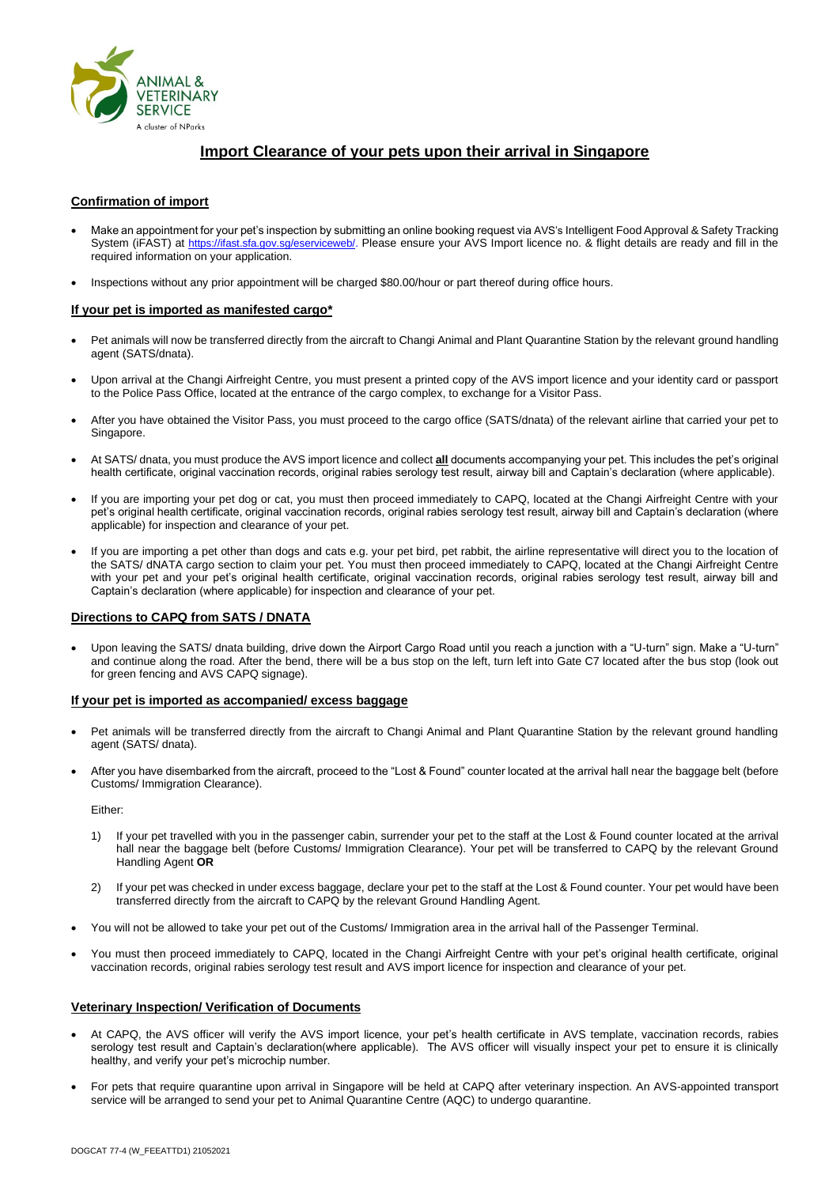

#### **Import Clearance of your pets upon their arrival in Singapore**

#### **Confirmation of import**

- Make an appointment for your pet's inspection by submitting an online booking request via AVS's Intelligent Food Approval & Safety Tracking System (iFAST) at [https://ifast.sfa.gov.sg/eserviceweb/.](https://ifast.sfa.gov.sg/eserviceweb/) Please ensure your AVS Import licence no. & flight details are ready and fill in the required information on your application.
- Inspections without any prior appointment will be charged \$80.00/hour or part thereof during office hours.

#### **If your pet is imported as manifested cargo\***

- Pet animals will now be transferred directly from the aircraft to Changi Animal and Plant Quarantine Station by the relevant ground handling agent (SATS/dnata).
- Upon arrival at the Changi Airfreight Centre, you must present a printed copy of the AVS import licence and your identity card or passport to the Police Pass Office, located at the entrance of the cargo complex, to exchange for a Visitor Pass.
- After you have obtained the Visitor Pass, you must proceed to the cargo office (SATS/dnata) of the relevant airline that carried your pet to Singapore.
- At SATS/ dnata, you must produce the AVS import licence and collect **all** documents accompanying your pet. This includes the pet's original health certificate, original vaccination records, original rabies serology test result, airway bill and Captain's declaration (where applicable).
- If you are importing your pet dog or cat, you must then proceed immediately to CAPQ, located at the Changi Airfreight Centre with your pet's original health certificate, original vaccination records, original rabies serology test result, airway bill and Captain's declaration (where applicable) for inspection and clearance of your pet.
- If you are importing a pet other than dogs and cats e.g. your pet bird, pet rabbit, the airline representative will direct you to the location of the SATS/ dNATA cargo section to claim your pet. You must then proceed immediately to CAPQ, located at the Changi Airfreight Centre with your pet and your pet's original health certificate, original vaccination records, original rabies serology test result, airway bill and Captain's declaration (where applicable) for inspection and clearance of your pet.

#### **Directions to CAPQ from SATS / DNATA**

• Upon leaving the SATS/ dnata building, drive down the Airport Cargo Road until you reach a junction with a "U-turn" sign. Make a "U-turn" and continue along the road. After the bend, there will be a bus stop on the left, turn left into Gate C7 located after the bus stop (look out for green fencing and AVS CAPQ signage).

#### **If your pet is imported as accompanied/ excess baggage**

- Pet animals will be transferred directly from the aircraft to Changi Animal and Plant Quarantine Station by the relevant ground handling agent (SATS/ dnata).
- After you have disembarked from the aircraft, proceed to the "Lost & Found" counter located at the arrival hall near the baggage belt (before Customs/ Immigration Clearance).

Either:

- 1) If your pet travelled with you in the passenger cabin, surrender your pet to the staff at the Lost & Found counter located at the arrival hall near the baggage belt (before Customs/ Immigration Clearance). Your pet will be transferred to CAPQ by the relevant Ground Handling Agent **OR**
- 2) If your pet was checked in under excess baggage, declare your pet to the staff at the Lost & Found counter. Your pet would have been transferred directly from the aircraft to CAPQ by the relevant Ground Handling Agent.
- You will not be allowed to take your pet out of the Customs/ Immigration area in the arrival hall of the Passenger Terminal.
- You must then proceed immediately to CAPQ, located in the Changi Airfreight Centre with your pet's original health certificate, original vaccination records, original rabies serology test result and AVS import licence for inspection and clearance of your pet.

#### **Veterinary Inspection/ Verification of Documents**

- At CAPQ, the AVS officer will verify the AVS import licence, your pet's health certificate in AVS template, vaccination records, rabies serology test result and Captain's declaration(where applicable). The AVS officer will visually inspect your pet to ensure it is clinically healthy, and verify your pet's microchip number.
- For pets that require quarantine upon arrival in Singapore will be held at CAPQ after veterinary inspection. An AVS-appointed transport service will be arranged to send your pet to Animal Quarantine Centre (AQC) to undergo quarantine.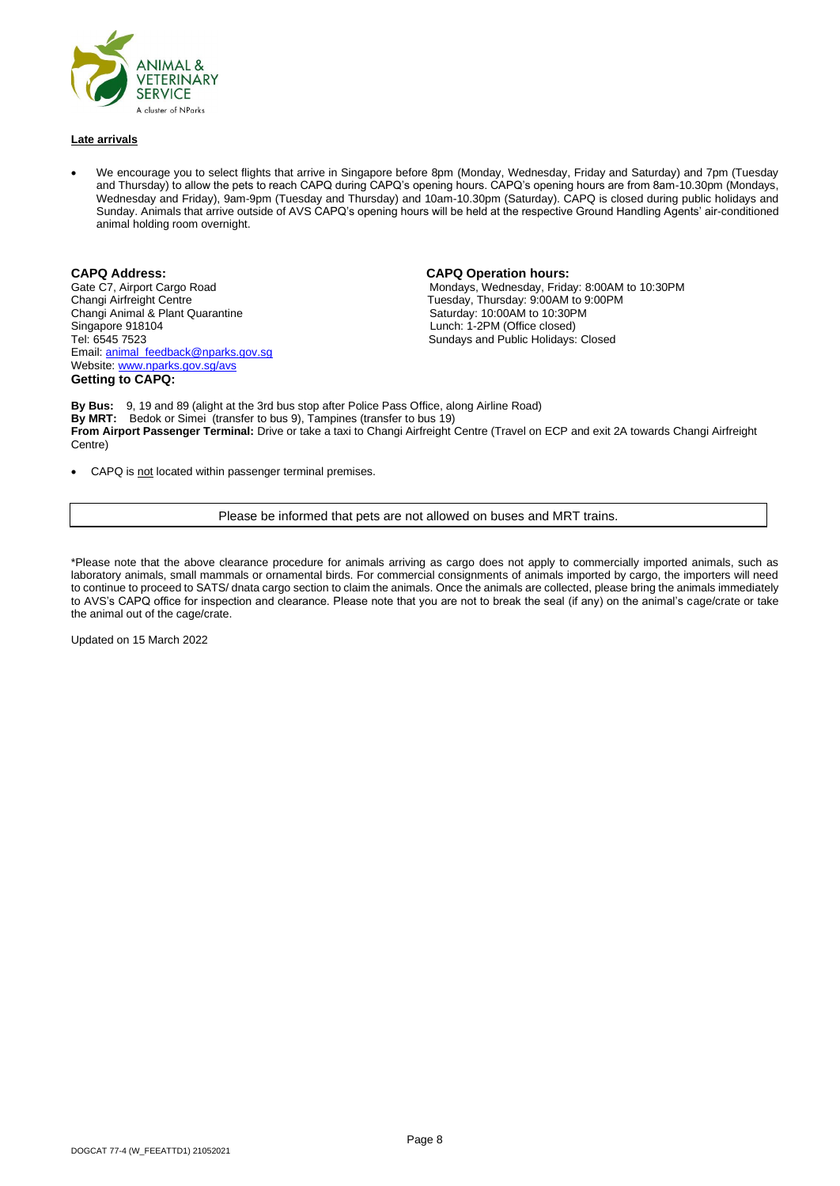

#### **Late arrivals**

• We encourage you to select flights that arrive in Singapore before 8pm (Monday, Wednesday, Friday and Saturday) and 7pm (Tuesday and Thursday) to allow the pets to reach CAPQ during CAPQ's opening hours. CAPQ's opening hours are from 8am-10.30pm (Mondays, Wednesday and Friday), 9am-9pm (Tuesday and Thursday) and 10am-10.30pm (Saturday). CAPQ is closed during public holidays and Sunday. Animals that arrive outside of AVS CAPQ's opening hours will be held at the respective Ground Handling Agents' air-conditioned animal holding room overnight.

Changi Animal & Plant Quarantine Singapore 918104 **Singapore 918104** Lunch: 1-2PM (Office closed)<br>Tel: 6545 7523 **COVID-100 COVID-200** Sundays and Public Holidays: Email: [animal\\_feedback@nparks.gov.sg](mailto:animal_feedback@nparks.gov.sg) Website[: www.nparks.gov.sg/avs](http://www.nparks.gov.sg/avs) **Getting to CAPQ:**

#### **CAPQ Address: CAPQ Operation hours:**

Gate C7, Airport Cargo Road **Mondays, Wednesday, Friday: 8:00AM to 10:30PM**<br>Changi Airfreight Centre **Monday: 8:00AM to 9:00PM**<br>Tuesday, Thursday: 9:00AM to 9:00PM Tuesday, Thursday: 9:00AM to 9:00PM<br>Saturday: 10:00AM to 10:30PM Sundays and Public Holidays: Closed

**By Bus:** 9, 19 and 89 (alight at the 3rd bus stop after Police Pass Office, along Airline Road) **By MRT:** Bedok or Simei (transfer to bus 9), Tampines (transfer to bus 19) **From Airport Passenger Terminal:** Drive or take a taxi to Changi Airfreight Centre (Travel on ECP and exit 2A towards Changi Airfreight Centre)

CAPQ is not located within passenger terminal premises.

#### Please be informed that pets are not allowed on buses and MRT trains.

\*Please note that the above clearance procedure for animals arriving as cargo does not apply to commercially imported animals, such as laboratory animals, small mammals or ornamental birds. For commercial consignments of animals imported by cargo, the importers will need to continue to proceed to SATS/ dnata cargo section to claim the animals. Once the animals are collected, please bring the animals immediately to AVS's CAPQ office for inspection and clearance. Please note that you are not to break the seal (if any) on the animal's cage/crate or take the animal out of the cage/crate.

Updated on 15 March 2022